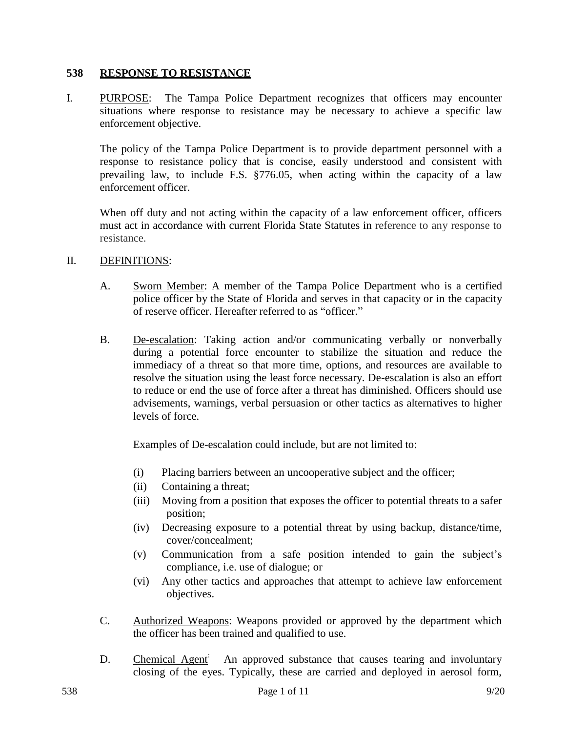#### **538 RESPONSE TO RESISTANCE**

I. PURPOSE: The Tampa Police Department recognizes that officers may encounter situations where response to resistance may be necessary to achieve a specific law enforcement objective.

The policy of the Tampa Police Department is to provide department personnel with a response to resistance policy that is concise, easily understood and consistent with prevailing law, to include F.S. §776.05, when acting within the capacity of a law enforcement officer.

When off duty and not acting within the capacity of a law enforcement officer, officers must act in accordance with current Florida State Statutes in reference to any response to resistance.

#### II. DEFINITIONS:

- A. Sworn Member: A member of the Tampa Police Department who is a certified police officer by the State of Florida and serves in that capacity or in the capacity of reserve officer. Hereafter referred to as "officer."
- B. De-escalation: Taking action and/or communicating verbally or nonverbally during a potential force encounter to stabilize the situation and reduce the immediacy of a threat so that more time, options, and resources are available to resolve the situation using the least force necessary. De-escalation is also an effort to reduce or end the use of force after a threat has diminished. Officers should use advisements, warnings, verbal persuasion or other tactics as alternatives to higher levels of force.

Examples of De-escalation could include, but are not limited to:

- (i) Placing barriers between an uncooperative subject and the officer;
- (ii) Containing a threat;
- (iii) Moving from a position that exposes the officer to potential threats to a safer position;
- (iv) Decreasing exposure to a potential threat by using backup, distance/time, cover/concealment;
- (v) Communication from a safe position intended to gain the subject's compliance, i.e. use of dialogue; or
- (vi) Any other tactics and approaches that attempt to achieve law enforcement objectives.
- C. Authorized Weapons: Weapons provided or approved by the department which the officer has been trained and qualified to use.
- D. Chemical Agent<sup>:</sup> An approved substance that causes tearing and involuntary closing of the eyes. Typically, these are carried and deployed in aerosol form,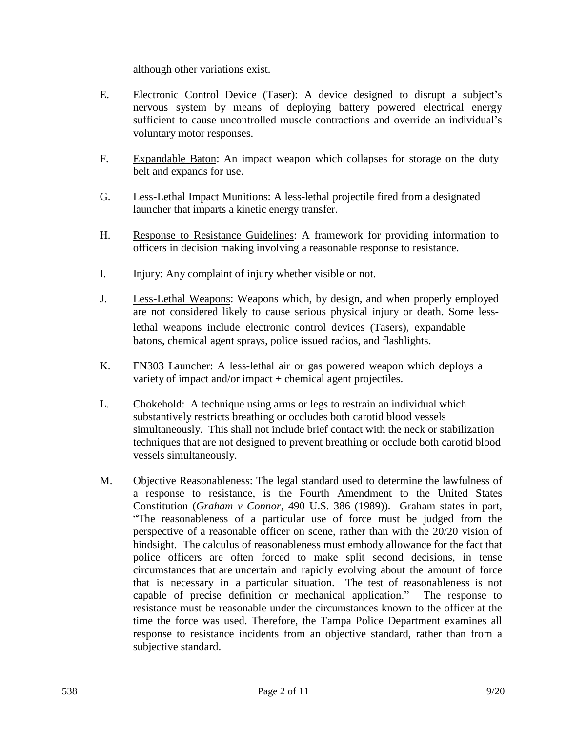although other variations exist.

- E. Electronic Control Device (Taser): A device designed to disrupt a subject's nervous system by means of deploying battery powered electrical energy sufficient to cause uncontrolled muscle contractions and override an individual's voluntary motor responses.
- F. Expandable Baton: An impact weapon which collapses for storage on the duty belt and expands for use.
- G. Less-Lethal Impact Munitions: A less-lethal projectile fired from a designated launcher that imparts a kinetic energy transfer.
- H. Response to Resistance Guidelines: A framework for providing information to officers in decision making involving a reasonable response to resistance.
- I. Injury: Any complaint of injury whether visible or not.
- J. Less-Lethal Weapons: Weapons which, by design, and when properly employed are not considered likely to cause serious physical injury or death. Some lesslethal weapons include electronic control devices (Tasers), expandable batons, chemical agent sprays, police issued radios, and flashlights.
- K. FN303 Launcher: A less-lethal air or gas powered weapon which deploys a variety of impact and/or impact + chemical agent projectiles.
- L. Chokehold: A technique using arms or legs to restrain an individual which substantively restricts breathing or occludes both carotid blood vessels simultaneously. This shall not include brief contact with the neck or stabilization techniques that are not designed to prevent breathing or occlude both carotid blood vessels simultaneously.
- M. Objective Reasonableness: The legal standard used to determine the lawfulness of a response to resistance, is the Fourth Amendment to the United States Constitution (*Graham v Connor*, 490 U.S. 386 (1989)). Graham states in part, "The reasonableness of a particular use of force must be judged from the perspective of a reasonable officer on scene, rather than with the 20/20 vision of hindsight. The calculus of reasonableness must embody allowance for the fact that police officers are often forced to make split second decisions, in tense circumstances that are uncertain and rapidly evolving about the amount of force that is necessary in a particular situation. The test of reasonableness is not capable of precise definition or mechanical application." The response to resistance must be reasonable under the circumstances known to the officer at the time the force was used. Therefore, the Tampa Police Department examines all response to resistance incidents from an objective standard, rather than from a subjective standard.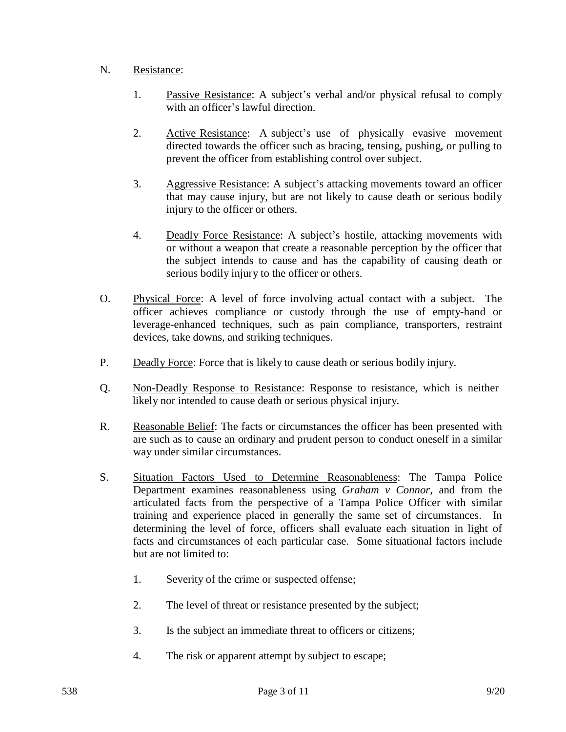# N. Resistance:

- 1. Passive Resistance: A subject's verbal and/or physical refusal to comply with an officer's lawful direction.
- 2. Active Resistance: A subject's use of physically evasive movement directed towards the officer such as bracing, tensing, pushing, or pulling to prevent the officer from establishing control over subject.
- 3. Aggressive Resistance: A subject's attacking movements toward an officer that may cause injury, but are not likely to cause death or serious bodily injury to the officer or others.
- 4. Deadly Force Resistance: A subject's hostile, attacking movements with or without a weapon that create a reasonable perception by the officer that the subject intends to cause and has the capability of causing death or serious bodily injury to the officer or others.
- O. Physical Force: A level of force involving actual contact with a subject. The officer achieves compliance or custody through the use of empty-hand or leverage-enhanced techniques, such as pain compliance, transporters, restraint devices, take downs, and striking techniques.
- P. Deadly Force: Force that is likely to cause death or serious bodily injury.
- Q. Non-Deadly Response to Resistance: Response to resistance, which is neither likely nor intended to cause death or serious physical injury.
- R. Reasonable Belief: The facts or circumstances the officer has been presented with are such as to cause an ordinary and prudent person to conduct oneself in a similar way under similar circumstances.
- S. Situation Factors Used to Determine Reasonableness: The Tampa Police Department examines reasonableness using *Graham v Connor*, and from the articulated facts from the perspective of a Tampa Police Officer with similar training and experience placed in generally the same set of circumstances. In determining the level of force, officers shall evaluate each situation in light of facts and circumstances of each particular case. Some situational factors include but are not limited to:
	- 1. Severity of the crime or suspected offense;
	- 2. The level of threat or resistance presented by the subject;
	- 3. Is the subject an immediate threat to officers or citizens;
	- 4. The risk or apparent attempt by subject to escape;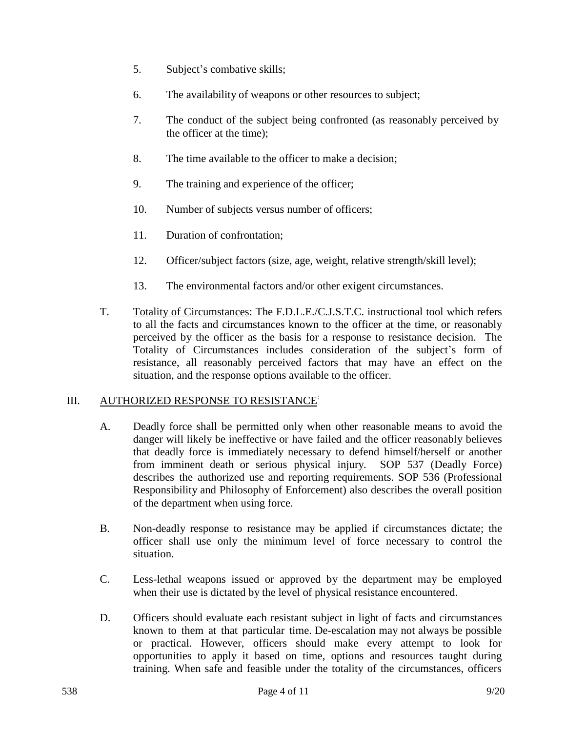- 5. Subject's combative skills;
- 6. The availability of weapons or other resources to subject;
- 7. The conduct of the subject being confronted (as reasonably perceived by the officer at the time);
- 8. The time available to the officer to make a decision;
- 9. The training and experience of the officer;
- 10. Number of subjects versus number of officers;
- 11. Duration of confrontation;
- 12. Officer/subject factors (size, age, weight, relative strength/skill level);
- 13. The environmental factors and/or other exigent circumstances.
- T. Totality of Circumstances: The F.D.L.E./C.J.S.T.C. instructional tool which refers to all the facts and circumstances known to the officer at the time, or reasonably perceived by the officer as the basis for a response to resistance decision. The Totality of Circumstances includes consideration of the subject's form of resistance, all reasonably perceived factors that may have an effect on the situation, and the response options available to the officer.

# III. AUTHORIZED RESPONSE TO RESISTANCE<sup>:</sup>

- A. Deadly force shall be permitted only when other reasonable means to avoid the danger will likely be ineffective or have failed and the officer reasonably believes that deadly force is immediately necessary to defend himself/herself or another from imminent death or serious physical injury. SOP 537 (Deadly Force) describes the authorized use and reporting requirements. SOP 536 (Professional Responsibility and Philosophy of Enforcement) also describes the overall position of the department when using force.
- B. Non-deadly response to resistance may be applied if circumstances dictate; the officer shall use only the minimum level of force necessary to control the situation.
- C. Less-lethal weapons issued or approved by the department may be employed when their use is dictated by the level of physical resistance encountered.
- D. Officers should evaluate each resistant subject in light of facts and circumstances known to them at that particular time. De-escalation may not always be possible or practical. However, officers should make every attempt to look for opportunities to apply it based on time, options and resources taught during training. When safe and feasible under the totality of the circumstances, officers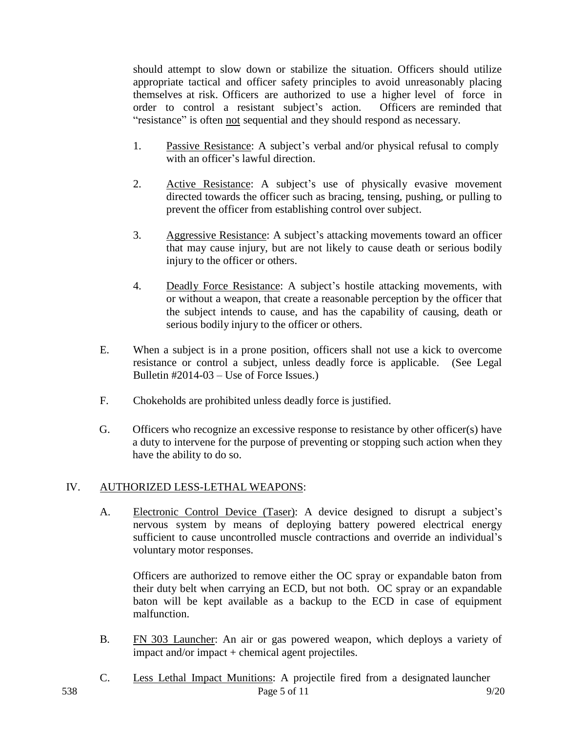should attempt to slow down or stabilize the situation. Officers should utilize appropriate tactical and officer safety principles to avoid unreasonably placing themselves at risk. Officers are authorized to use a higher level of force in order to control a resistant subject's action. Officers are reminded that "resistance" is often not sequential and they should respond as necessary.

- 1. Passive Resistance: A subject's verbal and/or physical refusal to comply with an officer's lawful direction.
- 2. Active Resistance: A subject's use of physically evasive movement directed towards the officer such as bracing, tensing, pushing, or pulling to prevent the officer from establishing control over subject.
- 3. Aggressive Resistance: A subject's attacking movements toward an officer that may cause injury, but are not likely to cause death or serious bodily injury to the officer or others.
- 4. Deadly Force Resistance: A subject's hostile attacking movements, with or without a weapon, that create a reasonable perception by the officer that the subject intends to cause, and has the capability of causing, death or serious bodily injury to the officer or others.
- E. When a subject is in a prone position, officers shall not use a kick to overcome resistance or control a subject, unless deadly force is applicable. (See Legal Bulletin #2014-03 – Use of Force Issues.)
- F. Chokeholds are prohibited unless deadly force is justified.
- G. Officers who recognize an excessive response to resistance by other officer(s) have a duty to intervene for the purpose of preventing or stopping such action when they have the ability to do so.

# IV. AUTHORIZED LESS-LETHAL WEAPONS:

A. Electronic Control Device (Taser): A device designed to disrupt a subject's nervous system by means of deploying battery powered electrical energy sufficient to cause uncontrolled muscle contractions and override an individual's voluntary motor responses.

Officers are authorized to remove either the OC spray or expandable baton from their duty belt when carrying an ECD, but not both. OC spray or an expandable baton will be kept available as a backup to the ECD in case of equipment malfunction.

- B. FN 303 Launcher: An air or gas powered weapon, which deploys a variety of impact and/or impact + chemical agent projectiles.
- 538 Page 5 of 11 9/20 C. Less Lethal Impact Munitions: A projectile fired from a designated launcher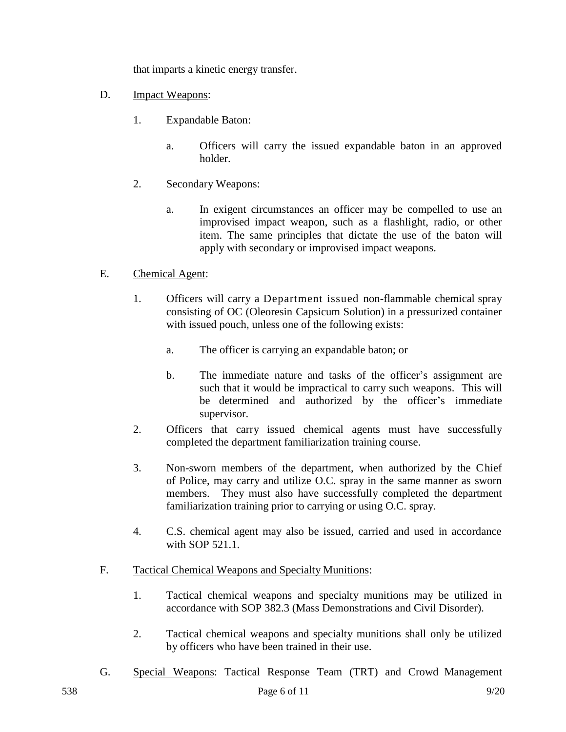that imparts a kinetic energy transfer.

- D. **Impact Weapons:** 
	- 1. Expandable Baton:
		- a. Officers will carry the issued expandable baton in an approved holder.
	- 2. Secondary Weapons:
		- a. In exigent circumstances an officer may be compelled to use an improvised impact weapon, such as a flashlight, radio, or other item. The same principles that dictate the use of the baton will apply with secondary or improvised impact weapons.

# E. Chemical Agent:

- 1. Officers will carry a Department issued non-flammable chemical spray consisting of OC (Oleoresin Capsicum Solution) in a pressurized container with issued pouch, unless one of the following exists:
	- a. The officer is carrying an expandable baton; or
	- b. The immediate nature and tasks of the officer's assignment are such that it would be impractical to carry such weapons. This will be determined and authorized by the officer's immediate supervisor.
- 2. Officers that carry issued chemical agents must have successfully completed the department familiarization training course.
- 3. Non-sworn members of the department, when authorized by the Chief of Police, may carry and utilize O.C. spray in the same manner as sworn members. They must also have successfully completed the department familiarization training prior to carrying or using O.C. spray.
- 4. C.S. chemical agent may also be issued, carried and used in accordance with SOP 521.1.
- F. Tactical Chemical Weapons and Specialty Munitions:
	- 1. Tactical chemical weapons and specialty munitions may be utilized in accordance with SOP 382.3 (Mass Demonstrations and Civil Disorder).
	- 2. Tactical chemical weapons and specialty munitions shall only be utilized by officers who have been trained in their use.
- G. Special Weapons: Tactical Response Team (TRT) and Crowd Management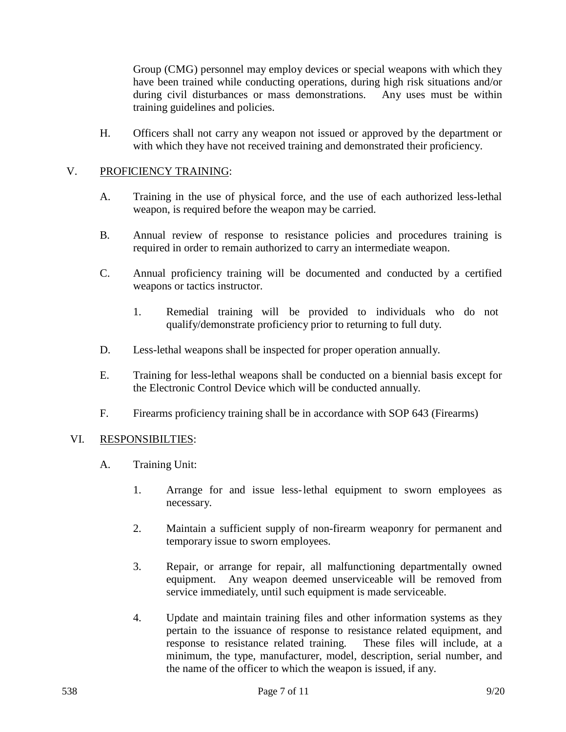Group (CMG) personnel may employ devices or special weapons with which they have been trained while conducting operations, during high risk situations and/or during civil disturbances or mass demonstrations. Any uses must be within training guidelines and policies.

H. Officers shall not carry any weapon not issued or approved by the department or with which they have not received training and demonstrated their proficiency.

# V. PROFICIENCY TRAINING:

- A. Training in the use of physical force, and the use of each authorized less-lethal weapon, is required before the weapon may be carried.
- B. Annual review of response to resistance policies and procedures training is required in order to remain authorized to carry an intermediate weapon.
- C. Annual proficiency training will be documented and conducted by a certified weapons or tactics instructor.
	- 1. Remedial training will be provided to individuals who do not qualify/demonstrate proficiency prior to returning to full duty.
- D. Less-lethal weapons shall be inspected for proper operation annually.
- E. Training for less-lethal weapons shall be conducted on a biennial basis except for the Electronic Control Device which will be conducted annually.
- F. Firearms proficiency training shall be in accordance with SOP 643 (Firearms)

#### VI. RESPONSIBILTIES:

- A. Training Unit:
	- 1. Arrange for and issue less-lethal equipment to sworn employees as necessary.
	- 2. Maintain a sufficient supply of non-firearm weaponry for permanent and temporary issue to sworn employees.
	- 3. Repair, or arrange for repair, all malfunctioning departmentally owned equipment. Any weapon deemed unserviceable will be removed from service immediately, until such equipment is made serviceable.
	- 4. Update and maintain training files and other information systems as they pertain to the issuance of response to resistance related equipment, and response to resistance related training. These files will include, at a minimum, the type, manufacturer, model, description, serial number, and the name of the officer to which the weapon is issued, if any.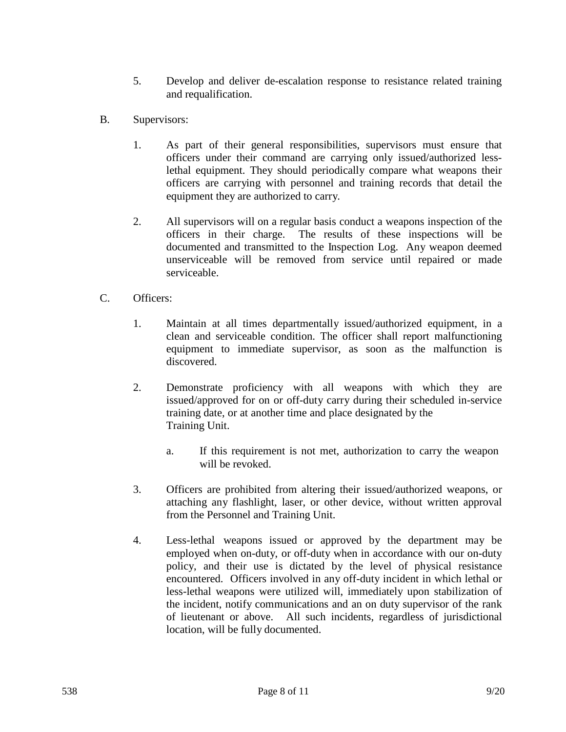- 5. Develop and deliver de-escalation response to resistance related training and requalification.
- B. Supervisors:
	- 1. As part of their general responsibilities, supervisors must ensure that officers under their command are carrying only issued/authorized lesslethal equipment. They should periodically compare what weapons their officers are carrying with personnel and training records that detail the equipment they are authorized to carry.
	- 2. All supervisors will on a regular basis conduct a weapons inspection of the officers in their charge. The results of these inspections will be documented and transmitted to the Inspection Log. Any weapon deemed unserviceable will be removed from service until repaired or made serviceable.
- C. Officers:
	- 1. Maintain at all times departmentally issued/authorized equipment, in a clean and serviceable condition. The officer shall report malfunctioning equipment to immediate supervisor, as soon as the malfunction is discovered.
	- 2. Demonstrate proficiency with all weapons with which they are issued/approved for on or off-duty carry during their scheduled in-service training date, or at another time and place designated by the Training Unit.
		- a. If this requirement is not met, authorization to carry the weapon will be revoked.
	- 3. Officers are prohibited from altering their issued/authorized weapons, or attaching any flashlight, laser, or other device, without written approval from the Personnel and Training Unit.
	- 4. Less-lethal weapons issued or approved by the department may be employed when on-duty, or off-duty when in accordance with our on-duty policy, and their use is dictated by the level of physical resistance encountered. Officers involved in any off-duty incident in which lethal or less-lethal weapons were utilized will, immediately upon stabilization of the incident, notify communications and an on duty supervisor of the rank of lieutenant or above. All such incidents, regardless of jurisdictional location, will be fully documented.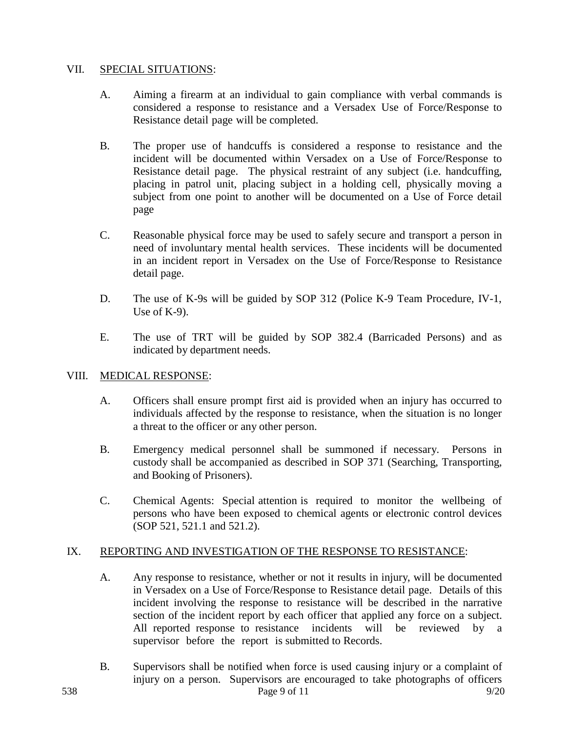## VII. SPECIAL SITUATIONS:

- A. Aiming a firearm at an individual to gain compliance with verbal commands is considered a response to resistance and a Versadex Use of Force/Response to Resistance detail page will be completed.
- B. The proper use of handcuffs is considered a response to resistance and the incident will be documented within Versadex on a Use of Force/Response to Resistance detail page. The physical restraint of any subject (i.e. handcuffing, placing in patrol unit, placing subject in a holding cell, physically moving a subject from one point to another will be documented on a Use of Force detail page
- C. Reasonable physical force may be used to safely secure and transport a person in need of involuntary mental health services. These incidents will be documented in an incident report in Versadex on the Use of Force/Response to Resistance detail page.
- D. The use of K-9s will be guided by SOP 312 (Police K-9 Team Procedure, IV-1, Use of K-9).
- E. The use of TRT will be guided by SOP 382.4 (Barricaded Persons) and as indicated by department needs.

# VIII. MEDICAL RESPONSE:

- A. Officers shall ensure prompt first aid is provided when an injury has occurred to individuals affected by the response to resistance, when the situation is no longer a threat to the officer or any other person.
- B. Emergency medical personnel shall be summoned if necessary. Persons in custody shall be accompanied as described in SOP 371 (Searching, Transporting, and Booking of Prisoners).
- C. Chemical Agents: Special attention is required to monitor the wellbeing of persons who have been exposed to chemical agents or electronic control devices (SOP 521, 521.1 and 521.2).

# IX. REPORTING AND INVESTIGATION OF THE RESPONSE TO RESISTANCE:

- A. Any response to resistance, whether or not it results in injury, will be documented in Versadex on a Use of Force/Response to Resistance detail page. Details of this incident involving the response to resistance will be described in the narrative section of the incident report by each officer that applied any force on a subject. All reported response to resistance incidents will be reviewed by a supervisor before the report is submitted to Records.
- 538 Page 9 of 11 9/20 B. Supervisors shall be notified when force is used causing injury or a complaint of injury on a person. Supervisors are encouraged to take photographs of officers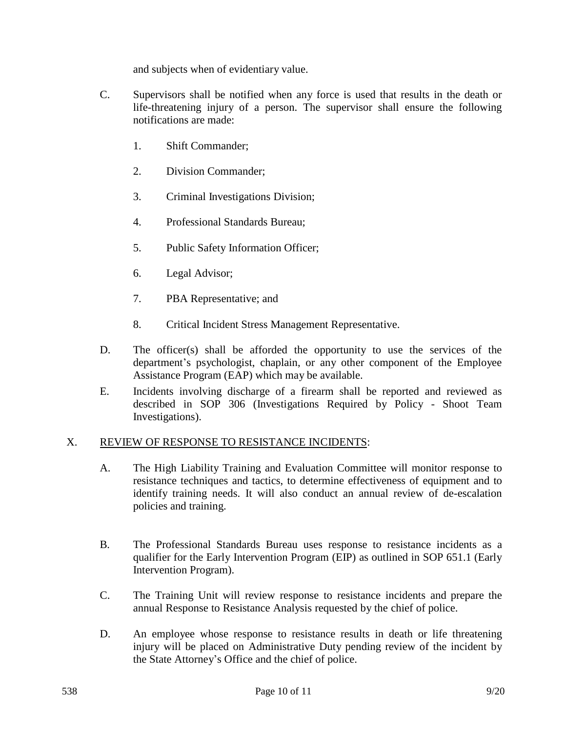and subjects when of evidentiary value.

- C. Supervisors shall be notified when any force is used that results in the death or life-threatening injury of a person. The supervisor shall ensure the following notifications are made:
	- 1. Shift Commander;
	- 2. Division Commander;
	- 3. Criminal Investigations Division;
	- 4. Professional Standards Bureau;
	- 5. Public Safety Information Officer;
	- 6. Legal Advisor;
	- 7. PBA Representative; and
	- 8. Critical Incident Stress Management Representative.
- D. The officer(s) shall be afforded the opportunity to use the services of the department's psychologist, chaplain, or any other component of the Employee Assistance Program (EAP) which may be available.
- E. Incidents involving discharge of a firearm shall be reported and reviewed as described in SOP 306 (Investigations Required by Policy - Shoot Team Investigations).

# X. REVIEW OF RESPONSE TO RESISTANCE INCIDENTS:

- A. The High Liability Training and Evaluation Committee will monitor response to resistance techniques and tactics, to determine effectiveness of equipment and to identify training needs. It will also conduct an annual review of de-escalation policies and training.
- B. The Professional Standards Bureau uses response to resistance incidents as a qualifier for the Early Intervention Program (EIP) as outlined in SOP 651.1 (Early Intervention Program).
- C. The Training Unit will review response to resistance incidents and prepare the annual Response to Resistance Analysis requested by the chief of police.
- D. An employee whose response to resistance results in death or life threatening injury will be placed on Administrative Duty pending review of the incident by the State Attorney's Office and the chief of police.